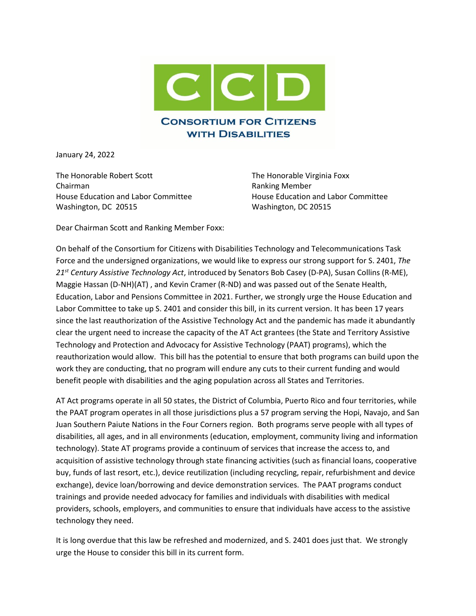

January 24, 2022

The Honorable Robert Scott The Honorable Virginia Foxx Chairman Ranking Member House Education and Labor Committee House Education and Labor Committee Washington, DC 20515 Washington, DC 20515

Dear Chairman Scott and Ranking Member Foxx:

On behalf of the Consortium for Citizens with Disabilities Technology and Telecommunications Task Force and the undersigned organizations, we would like to express our strong support for S. 2401, *The 21st Century Assistive Technology Act*, introduced by Senators Bob Casey (D-PA), Susan Collins (R-ME), Maggie Hassan (D-NH)(AT) , and Kevin Cramer (R-ND) and was passed out of the Senate Health, Education, Labor and Pensions Committee in 2021. Further, we strongly urge the House Education and Labor Committee to take up S. 2401 and consider this bill, in its current version. It has been 17 years since the last reauthorization of the Assistive Technology Act and the pandemic has made it abundantly clear the urgent need to increase the capacity of the AT Act grantees (the State and Territory Assistive Technology and Protection and Advocacy for Assistive Technology (PAAT) programs), which the reauthorization would allow. This bill has the potential to ensure that both programs can build upon the work they are conducting, that no program will endure any cuts to their current funding and would benefit people with disabilities and the aging population across all States and Territories.

AT Act programs operate in all 50 states, the District of Columbia, Puerto Rico and four territories, while the PAAT program operates in all those jurisdictions plus a 57 program serving the Hopi, Navajo, and San Juan Southern Paiute Nations in the Four Corners region. Both programs serve people with all types of disabilities, all ages, and in all environments (education, employment, community living and information technology). State AT programs provide a continuum of services that increase the access to, and acquisition of assistive technology through state financing activities (such as financial loans, cooperative buy, funds of last resort, etc.), device reutilization (including recycling, repair, refurbishment and device exchange), device loan/borrowing and device demonstration services. The PAAT programs conduct trainings and provide needed advocacy for families and individuals with disabilities with medical providers, schools, employers, and communities to ensure that individuals have access to the assistive technology they need.

It is long overdue that this law be refreshed and modernized, and S. 2401 does just that. We strongly urge the House to consider this bill in its current form.